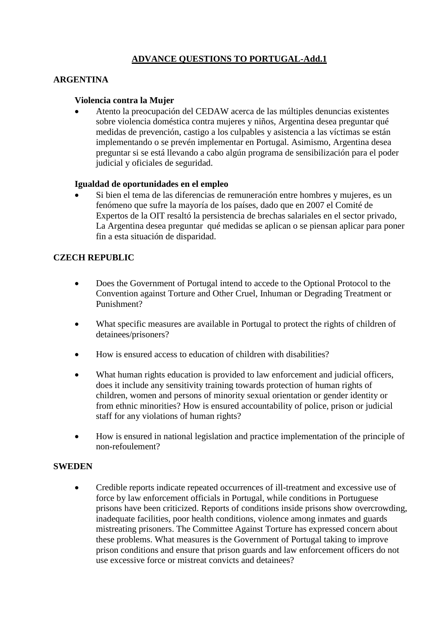# **ADVANCE QUESTIONS TO PORTUGAL-Add.1**

# **ARGENTINA**

### **Violencia contra la Mujer**

 Atento la preocupación del CEDAW acerca de las múltiples denuncias existentes sobre violencia doméstica contra mujeres y niños, Argentina desea preguntar qué medidas de prevención, castigo a los culpables y asistencia a las víctimas se están implementando o se prevén implementar en Portugal. Asimismo, Argentina desea preguntar si se está llevando a cabo algún programa de sensibilización para el poder judicial y oficiales de seguridad.

#### **Igualdad de oportunidades en el empleo**

 Si bien el tema de las diferencias de remuneración entre hombres y mujeres, es un fenómeno que sufre la mayoría de los países, dado que en 2007 el Comité de Expertos de la OIT resaltó la persistencia de brechas salariales en el sector privado, La Argentina desea preguntar qué medidas se aplican o se piensan aplicar para poner fin a esta situación de disparidad.

## **CZECH REPUBLIC**

- Does the Government of Portugal intend to accede to the Optional Protocol to the Convention against Torture and Other Cruel, Inhuman or Degrading Treatment or Punishment?
- What specific measures are available in Portugal to protect the rights of children of detainees/prisoners?
- How is ensured access to education of children with disabilities?
- What human rights education is provided to law enforcement and judicial officers, does it include any sensitivity training towards protection of human rights of children, women and persons of minority sexual orientation or gender identity or from ethnic minorities? How is ensured accountability of police, prison or judicial staff for any violations of human rights?
- How is ensured in national legislation and practice implementation of the principle of non-refoulement?

#### **SWEDEN**

 Credible reports indicate repeated occurrences of ill-treatment and excessive use of force by law enforcement officials in Portugal, while conditions in Portuguese prisons have been criticized. Reports of conditions inside prisons show overcrowding, inadequate facilities, poor health conditions, violence among inmates and guards mistreating prisoners. The Committee Against Torture has expressed concern about these problems. What measures is the Government of Portugal taking to improve prison conditions and ensure that prison guards and law enforcement officers do not use excessive force or mistreat convicts and detainees?